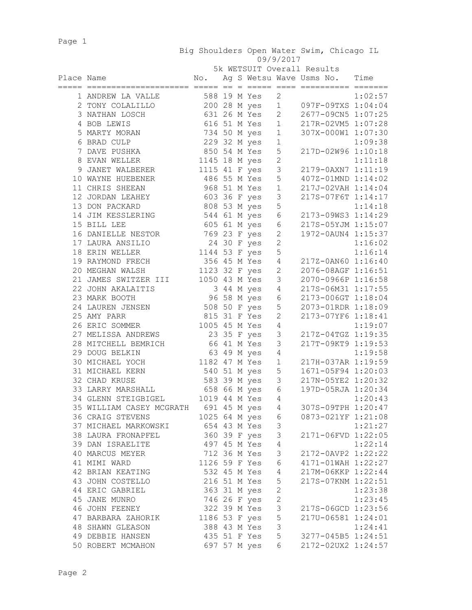Page 1

 Big Shoulders Open Water Swim, Chicago IL 09/9/2017

|  | 5k WETSUIT Overall Results |
|--|----------------------------|

| Place Name |                                                      | $\mathbb{N} \circ$ .          |  |              |                       | Ag S Wetsu Wave Usms No.           | Time    |
|------------|------------------------------------------------------|-------------------------------|--|--------------|-----------------------|------------------------------------|---------|
|            | 1 ANDREW LA VALLE                                    |                               |  | 588 19 M Yes | $\mathbf{2}$          |                                    | 1:02:57 |
|            | 2 TONY COLALILLO 200 28 M yes                        |                               |  |              | $\mathbf{1}$          | 097F-09TXS 1:04:04                 |         |
|            | 3 NATHAN LOSCH                                       |                               |  | 631 26 M Yes | $\mathbf{2}^{\prime}$ | 2677-09CN5 1:07:25                 |         |
|            | 4 BOB LEWIS                                          |                               |  | 616 51 M Yes | $\mathbf{1}$          | 217R-02VM5 1:07:28                 |         |
|            | 5 MARTY MORAN                                        |                               |  | 734 50 M yes | $\mathbf{1}$          | 307X-000W1 1:07:30                 |         |
|            | 6 BRAD CULP                                          |                               |  | 229 32 M yes | $\mathbf 1$           |                                    | 1:09:38 |
|            | 7 DAVE PUSHKA                                        | 850 54 M Yes                  |  |              | 5                     | 217D-02W96 1:10:18                 |         |
|            | 8 EVAN WELLER                                        | 1145 18 M yes                 |  |              | $\overline{c}$        |                                    | 1:11:18 |
|            | 9 JANET WALBERER                                     | 1115 41 F yes                 |  |              | 3                     | 2179-0AXN7 1:11:19                 |         |
|            | 10 WAYNE HUEBENER                                    | 486 55 M Yes                  |  |              | 5                     | 407Z-01MND 1:14:02                 |         |
|            | 11 CHRIS SHEEAN                                      |                               |  | 968 51 M Yes | $\mathbf{1}$          | 217J-02VAH 1:14:04                 |         |
|            | 12 JORDAN LEAHEY                                     | 603 36 F yes                  |  |              | 3                     | 217S-07F6T 1:14:17                 |         |
|            | 13 DON PACKARD                                       | 808 53 M yes                  |  |              | 5                     |                                    | 1:14:18 |
|            | 14 JIM KESSLERING                                    |                               |  | 544 61 M yes | 6                     | 2173-09WS3 1:14:29                 |         |
|            | 15 BILL LEE                                          |                               |  | 605 61 M yes | $\sqrt{6}$            | 217S-05YJM 1:15:07                 |         |
|            | 16 DANIELLE NESTOR                                   |                               |  | 769 23 F yes | $\overline{c}$        | 1972-0AUN4 1:15:37                 |         |
|            | 17 LAURA ANSILIO                                     |                               |  | 24 30 F yes  | $\overline{2}$        |                                    | 1:16:02 |
|            | 18 ERIN WELLER                                       | $1144$ 53 F yes               |  |              | 5                     |                                    | 1:16:14 |
|            | 19 RAYMOND FRECH                                     | 356 45 M Yes<br>1123 32 F yes |  |              | $\overline{4}$        | 217Z-0AN60 1:16:40                 |         |
|            | 20 MEGHAN WALSH                                      |                               |  |              | $\overline{2}$        | 2076-08AGF 1:16:51                 |         |
|            | 21 JAMES SWITZER III                                 | 1050 43 M Yes                 |  |              | $\mathsf 3$           | 2070-0966P 1:16:58                 |         |
|            | 22 JOHN AKALAITIS                                    |                               |  | 3 44 M yes   | $\overline{4}$        | 217S-06M31 1:17:55                 |         |
|            | 23 MARK BOOTH                                        |                               |  | 96 58 M yes  | 6                     | 2173-006GT 1:18:04                 |         |
|            | 24 LAUREN JENSEN                                     | 508 50 F yes                  |  |              | 5                     | 2073-01RDR 1:18:09                 |         |
|            | 25 AMY PARR                                          | 815 31 F Yes                  |  |              | $\overline{2}$        | 2173-07YF6 1:18:41                 |         |
|            | 26 ERIC SOMMER                                       | 1005 45 M Yes                 |  |              | $\overline{4}$        |                                    | 1:19:07 |
|            | 27 MELISSA ANDREWS                                   |                               |  | 23 35 F yes  | 3                     | 217Z-04TGZ 1:19:35                 |         |
|            | 28 MITCHELL BEMRICH                                  |                               |  | 66 41 M Yes  | 3                     | 217T-09KT9 1:19:53                 |         |
|            | 29 DOUG BELKIN                                       |                               |  | 63 49 M yes  | $\overline{4}$        |                                    | 1:19:58 |
|            | 30 MICHAEL YOCH                                      | 1182 47 M Yes                 |  |              | $\mathbf{1}$          | 217H-037AR 1:19:59                 |         |
|            | 31 MICHAEL KERN                                      | 540 51 M yes                  |  |              | 5                     | 1671-05F94 1:20:03                 |         |
|            | 32 CHAD KRUSE                                        | 583 39 M yes                  |  |              | $\mathcal{S}$         | 217N-05YE2 1:20:32                 |         |
|            | 33 LARRY MARSHALL                                    | 658 66 М уеѕ                  |  |              | 6                     | 197D-05RJA 1:20:34                 |         |
|            | 34 GLENN STEIGBIGEL 1019 44 M Yes                    |                               |  |              | 4                     |                                    | 1:20:43 |
|            | 35 WILLIAM CASEY MCGRATH 691 45 M yes 4              |                               |  |              |                       | 307S-09TPH 1:20:47                 |         |
|            | 36 CRAIG STEVENS 1025 64 M yes 6 0873-021YF 1:21:08  |                               |  |              |                       |                                    |         |
|            | 37 MICHAEL MARKOWSKI                                 | 654 43 M Yes 3                |  |              |                       |                                    | 1:21:27 |
|            | 38 LAURA FRONAPFEL 360 39 F yes 3 2171-06FVD 1:22:05 |                               |  |              |                       |                                    |         |
|            | 39 DAN ISRAELITE 497 45 M Yes 4                      |                               |  |              |                       |                                    | 1:22:14 |
|            | 40 MARCUS MEYER                                      | 712 36 M Yes 3                |  |              |                       | 2172-0AVP2 1:22:22                 |         |
|            | 41 MIMI WARD                                         |                               |  |              |                       | 1126 59 F Yes 6 4171-01WAH 1:22:27 |         |
|            | 42 BRIAN KEATING 532 45 M Yes 4 217M-06KKP 1:22:44   |                               |  |              |                       |                                    |         |
|            | 216 51 M Yes 5<br>43 JOHN COSTELLO                   |                               |  |              |                       | 217S-07KNM 1:22:51                 |         |
|            | 44 ERIC GABRIEL                                      | 363 31 M yes 2                |  |              |                       |                                    | 1:23:38 |
|            | 45 JANE MUNRO                                        | 746 26 F yes 2                |  |              |                       |                                    | 1:23:45 |
|            | 46 JOHN FEENEY 322 39 M Yes 3                        |                               |  |              |                       | 217S-06GCD 1:23:56                 |         |
|            | 47 BARBARA ZAHORIK 1186 53 F yes 5                   |                               |  |              |                       | 217U-06581 1:24:01                 |         |
|            | 48 SHAWN GLEASON 388 43 M Yes 3                      |                               |  |              |                       |                                    | 1:24:41 |
|            | 49 DEBBIE HANSEN 435 51 F Yes 5                      |                               |  |              |                       | 3277-045B5 1:24:51                 |         |
|            | 50 ROBERT MCMAHON 697 57 M yes 6                     |                               |  |              |                       | 2172-02UX2 1:24:57                 |         |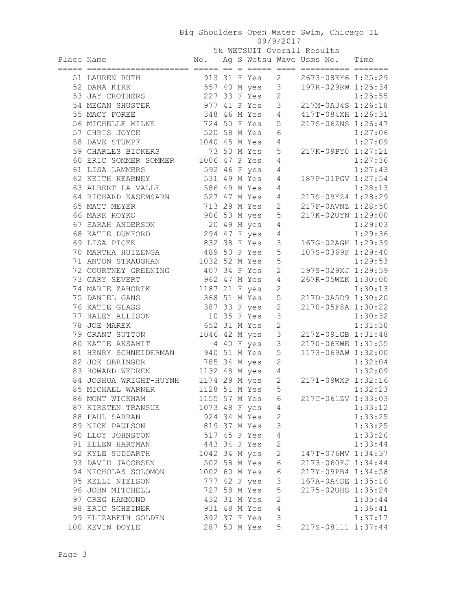## Big Shoulders Open Water Swim, Chicago IL 09/9/2017

|            | 5k WETSUIT Overall Results         |               |  |  |                |                                |                                   |         |  |
|------------|------------------------------------|---------------|--|--|----------------|--------------------------------|-----------------------------------|---------|--|
| Place Name |                                    |               |  |  |                |                                | No. Ag S Wetsu Wave Usms No. Time |         |  |
|            |                                    |               |  |  |                |                                |                                   |         |  |
|            | 51 LAUREN RUTH                     |               |  |  | 913 31 F Yes   | $2 \left( \frac{1}{2} \right)$ | 2673-08EY6 1:25:29                |         |  |
|            | 52 DANA KIRK                       |               |  |  | 557 40 M yes 3 |                                | 197R-029RW 1:25:34                |         |  |
|            | 53 JAY CROTHERS                    |               |  |  | 227 33 F Yes   | $\overline{c}$                 |                                   | 1:25:55 |  |
|            | 54 MEGAN SHUSTER                   |               |  |  | 977 41 F Yes   | $\mathcal{S}$                  | 217M-0A34S 1:26:18                |         |  |
|            | 55 MACY FOREE                      |               |  |  | 348 46 M Yes   | $\overline{4}$                 | 417T-084XH 1:26:31                |         |  |
|            | 56 MICHELLE MILNE                  | 724 50 F Yes  |  |  |                | 5                              | 217S-06ZNS 1:26:47                |         |  |
|            | 57 CHRIS JOYCE                     | 520 58 M Yes  |  |  |                | 6                              |                                   | 1:27:06 |  |
|            | 58 DAVE STUMPF                     | 1040 45 M Yes |  |  |                | 4                              |                                   | 1:27:09 |  |
|            | 59 CHARLES BICKERS                 |               |  |  | 73 50 M Yes    | 5                              | 217K-09PY0 1:27:21                |         |  |
|            | 60 ERIC SOMMER SOMMER              | 1006 47 F Yes |  |  |                | 4                              |                                   | 1:27:36 |  |
|            | 61 LISA LAMMERS                    | 592 46 F yes  |  |  |                | 4                              |                                   | 1:27:43 |  |
|            | 62 KEITH KEARNEY                   | 531 49 M Yes  |  |  |                | $\overline{4}$                 | 187P-01PGV 1:27:54                |         |  |
|            | 63 ALBERT LA VALLE                 | 586 49 M Yes  |  |  |                | 4                              |                                   | 1:28:13 |  |
|            | 64 RICHARD KASEMSARN               | 527 47 M Yes  |  |  |                | 4                              | 217S-09YZ4 1:28:29                |         |  |
|            | 65 MATT MEYER                      |               |  |  | 713 29 M Yes   | 2                              | 217F-0AVNZ 1:28:50                |         |  |
|            | 66 MARK ROYKO                      |               |  |  | 906 53 M yes   | 5                              | 217K-02UYN 1:29:00                |         |  |
|            | 67 SARAH ANDERSON                  |               |  |  | 20 49 M yes    | $\sqrt{4}$                     |                                   | 1:29:03 |  |
|            | 68 KATIE DUMFORD                   | 294 47 F yes  |  |  |                | $\sqrt{4}$                     |                                   | 1:29:36 |  |
|            | 69 LISA PICEK                      | 832 38 F Yes  |  |  |                | $\mathcal{S}$                  | 167G-02AGH 1:29:39                |         |  |
|            | 70 MARTHA HUIZENGA                 | 489 50 F Yes  |  |  |                | 5                              | 107S-0369F 1:29:40                |         |  |
|            | 71 ANTON STRAUGHAN 1032 52 M Yes   |               |  |  |                | 5                              |                                   | 1:29:53 |  |
|            | 72 COURTNEY GREENING 407 34 F Yes  |               |  |  |                | $\overline{c}$                 | 197S-029XJ 1:29:59                |         |  |
|            | 73 CARY SEVERT                     | 962 47 M Yes  |  |  |                | 4                              | 267R-05WZK 1:30:00                |         |  |
|            | 74 MARIE ZAHORIK                   | 1187 21 F yes |  |  |                | $\mathbf 2$                    |                                   | 1:30:13 |  |
|            | 75 DANIEL GANS                     | 368 51 M Yes  |  |  |                | 5                              | 217D-0A5D9 1:30:20                |         |  |
|            | 76 KATIE GLASS                     | 387 33 F yes  |  |  |                | $\sqrt{2}$                     | 2170-05F8A 1:30:22                |         |  |
|            | 77 HALEY ALLISON                   | 10 35 F Yes   |  |  |                | $\mathsf 3$                    |                                   | 1:30:32 |  |
|            | 78 JOE MAREK                       | 652 31 M Yes  |  |  |                | $\overline{c}$                 |                                   | 1:31:30 |  |
|            | 79 GRANT SUTTON                    | 1046 42 M yes |  |  |                | $\mathcal{S}$                  | 217Z-091GB 1:31:48                |         |  |
|            | 80 KATIE AKSAMIT                   |               |  |  | 4 40 F yes     | $\mathsf 3$                    | 2170-06EWE 1:31:55                |         |  |
|            | 81 HENRY SCHNEIDERMAN 940 51 M Yes |               |  |  |                | 5                              | 1173-069AW 1:32:00                |         |  |
|            | 82 JOE OBRINGER                    | 785 34 M yes  |  |  |                | $\mathbf{2}$                   |                                   | 1:32:04 |  |
|            | 83 HOWARD WEDREN 1132 48 M yes     |               |  |  |                | 4                              |                                   | 1:32:09 |  |
|            | 84 JOSHUA WRIGHT-HUYNH             | 1174 29 M yes |  |  |                | $\overline{c}$                 | 2171-09WXP 1:32:16                |         |  |
|            | 85 MICHAEL WARNER                  | 1128 51 M Yes |  |  |                | 5                              |                                   | 1:32:23 |  |
|            | 86 MONT WICKHAM                    | 1155 57 M Yes |  |  |                | 6                              | 217C-061ZV 1:33:03                |         |  |
|            | 87 KIRSTEN TRANSUE                 | 1073 48 F yes |  |  |                | $\sqrt{4}$                     |                                   | 1:33:12 |  |
|            | 88 PAUL SARRAN                     |               |  |  | 924 34 M Yes   | $\sqrt{2}$                     |                                   | 1:33:25 |  |
|            | 89 NICK PAULSON                    |               |  |  | 819 37 M Yes   | 3                              |                                   | 1:33:25 |  |
|            | 90 LLOY JOHNSTON                   |               |  |  | 517 45 F Yes   | $\sqrt{4}$                     |                                   | 1:33:26 |  |
|            | 91 ELLEN HARTMAN                   | 443 34 F Yes  |  |  |                | $\overline{c}$                 |                                   | 1:33:44 |  |
|            | 92 KYLE SUDDARTH                   | 1042 34 M yes |  |  |                | $\overline{c}$                 | 147T-076MV 1:34:37                |         |  |
|            | 93 DAVID JACOBSEN                  | 502 58 M Yes  |  |  |                | $\epsilon$                     | 2173-060FJ 1:34:44                |         |  |
|            | 94 NICHOLAS SOLOMON                | 1002 60 M Yes |  |  |                | $\epsilon$                     | 217Y-09PB4 1:34:58                |         |  |
|            | 95 KELLI NIELSON                   | 777 42 F yes  |  |  |                | $\mathsf 3$                    | 167A-0A4DE 1:35:16                |         |  |
|            | 96 JOHN MITCHELL                   |               |  |  | 727 58 M Yes   | 5                              | 2175-02UHS 1:35:24                |         |  |
|            | 97 GREG HAMMOND                    |               |  |  | 432 31 M Yes   | $\overline{c}$                 |                                   | 1:35:44 |  |
|            | 98 ERIC SCHEINER                   | 931 48 M Yes  |  |  |                | $\overline{4}$                 |                                   | 1:36:41 |  |
|            | 99 ELIZABETH GOLDEN                |               |  |  | 392 37 F Yes   | $\mathsf 3$                    |                                   |         |  |
|            |                                    |               |  |  |                |                                |                                   | 1:37:17 |  |
|            | 100 KEVIN DOYLE                    |               |  |  | 287 50 M Yes   | 5                              | 217S-08111 1:37:44                |         |  |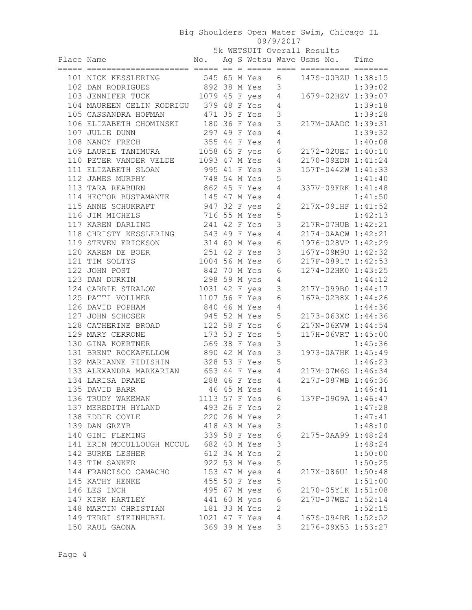## Big Shoulders Open Water Swim, Chicago IL 09/9/2017

5k WETSUIT Overall Results

| Place Name | No. Ag S Wetsu Wave Usms No. Time                                                                                        |  |                |                         |  |                                                        |
|------------|--------------------------------------------------------------------------------------------------------------------------|--|----------------|-------------------------|--|--------------------------------------------------------|
|            | 101 NICK KESSLERING 545 65 M Yes 6 147S-00BZU 1:38:15                                                                    |  |                |                         |  |                                                        |
|            |                                                                                                                          |  |                |                         |  |                                                        |
|            | 102 DAN RODRIGUES 892 38 M Yes 3 1:39:02<br>103 JENNIFER TUCK 1079 45 F yes 4 1679-02HZV 1:39:07                         |  |                |                         |  |                                                        |
|            | 104 MAUREEN GELIN RODRIGU 379 48 F Yes 4                                                                                 |  |                |                         |  | 1:39:18                                                |
|            | 105 CASSANDRA HOFMAN 471 35 F Yes                                                                                        |  |                | 3                       |  | 1:39:28                                                |
|            | 106 ELIZABETH CHOMINSKI 180 36 F Yes 3                                                                                   |  |                |                         |  | 217M-0AADC 1:39:31                                     |
|            |                                                                                                                          |  |                |                         |  | 1:39:32                                                |
|            |                                                                                                                          |  |                |                         |  | 1:40:08                                                |
|            | 107 JULIE DUNN 297 49 F Yes 4<br>108 NANCY FRECH 355 44 F Yes 4<br>109 LAURIE TANIMURA 1058 65 F yes 6                   |  |                |                         |  | 2172-02UEJ 1:40:10                                     |
|            | 110 PETER VANDER VELDE 1093 47 M Yes 4                                                                                   |  |                |                         |  | 2170-09EDN 1:41:24                                     |
|            | 995 41 F Yes<br>111 ELIZABETH SLOAN                                                                                      |  |                | $\mathcal{S}$           |  | 157T-0442W 1:41:33                                     |
|            | 112 JAMES MURPHY 748 54 M Yes<br>113 TARA REABURN 862 45 F Yes                                                           |  |                | 5                       |  | 1:41:40                                                |
|            |                                                                                                                          |  |                | 4                       |  | 337V-09FRK 1:41:48                                     |
|            | 114 HECTOR BUSTAMANTE 145 47 M Yes                                                                                       |  |                | $\overline{4}$          |  | 1:41:50                                                |
|            | 115 ANNE SCHUKRAFT<br>116 JIM MICHELS 116 55 M Yes<br>117 KAREN DARLING 241 42 F Yes<br>118 GURIATY MIGGIFRING 548 F YES |  |                | $\overline{2}$          |  | 1:41:50<br>217X-091HF 1:41:52                          |
|            |                                                                                                                          |  |                | 5                       |  | 1:42:13                                                |
|            |                                                                                                                          |  |                | $\mathcal{S}$           |  | 217R-07HUB 1:42:21                                     |
|            | 118 CHRISTY KESSLERING 543 49 F Yes                                                                                      |  |                |                         |  | 4 2174-0AACW 1:42:21                                   |
|            |                                                                                                                          |  |                |                         |  |                                                        |
|            |                                                                                                                          |  |                |                         |  |                                                        |
|            |                                                                                                                          |  |                |                         |  |                                                        |
|            |                                                                                                                          |  |                |                         |  |                                                        |
|            |                                                                                                                          |  |                |                         |  |                                                        |
|            |                                                                                                                          |  |                |                         |  |                                                        |
|            |                                                                                                                          |  |                |                         |  |                                                        |
|            |                                                                                                                          |  |                |                         |  |                                                        |
|            |                                                                                                                          |  |                |                         |  |                                                        |
|            |                                                                                                                          |  |                |                         |  |                                                        |
|            |                                                                                                                          |  |                |                         |  |                                                        |
|            |                                                                                                                          |  |                |                         |  |                                                        |
|            |                                                                                                                          |  |                |                         |  |                                                        |
|            |                                                                                                                          |  |                |                         |  |                                                        |
|            |                                                                                                                          |  |                |                         |  |                                                        |
|            |                                                                                                                          |  |                |                         |  |                                                        |
|            |                                                                                                                          |  |                |                         |  |                                                        |
|            | 136 TRUDY WAKEMAN 1113 57 F Yes 6 137F-09G9A 1:46:47                                                                     |  |                |                         |  |                                                        |
|            | 137 MEREDITH HYLAND<br>137 MEREDITH HYLAND<br>138 EDDIE COYLE 220 26 M Yes<br>138 EDDIE COYLE 220 26 M Yes               |  | 493 26 F Yes 2 |                         |  | 1:47:28                                                |
|            |                                                                                                                          |  |                | $\overline{2}$          |  | 1:47:41                                                |
|            |                                                                                                                          |  |                | $\overline{\mathbf{3}}$ |  | 1:48:10                                                |
|            | 140 GINI FLEMING 339 58 F Yes 6                                                                                          |  |                |                         |  | 2175-0AA99 1:48:24                                     |
|            | 141 ERIN MCCULLOUGH MCCUL 682 40 M Yes 3                                                                                 |  |                |                         |  | 1:48:24                                                |
|            | 142 BURKE LESHER 612 34 M Yes 2                                                                                          |  |                |                         |  | 1:50:00                                                |
|            | 143 TIM SANKER                                                                                                           |  | 922 53 M Yes 5 |                         |  | 1:50:25                                                |
|            | 144 FRANCISCO CAMACHO 153 47 M yes 4 217X-086U1 1:50:48                                                                  |  |                |                         |  |                                                        |
|            |                                                                                                                          |  | $45550F$ Yes 5 |                         |  | 1:51:00                                                |
|            | 145 KATHY HENKE<br>146 LES INCH                                                                                          |  |                |                         |  | 450 30 F 1es 5<br>495 67 M yes 6    2170-05Y1K 1:51:08 |
|            | 147 KIRK HARTLEY 441 60 M yes 6 217U-07WEJ 1:52:14                                                                       |  |                |                         |  |                                                        |
|            | 148 MARTIN CHRISTIAN 181 33 M Yes 2                                                                                      |  |                |                         |  |                                                        |
|            | 148 MARTIN CHRISTIAN 181 33 M Yes 2 1:52:15<br>149 TERRI STEINHUBEL 1021 47 F Yes 4 167S-094RE 1:52:52                   |  |                |                         |  |                                                        |
|            | 150 RAUL GAONA                                                                                                           |  |                |                         |  | 369 39 M Yes 3 2176-09X53 1:53:27                      |